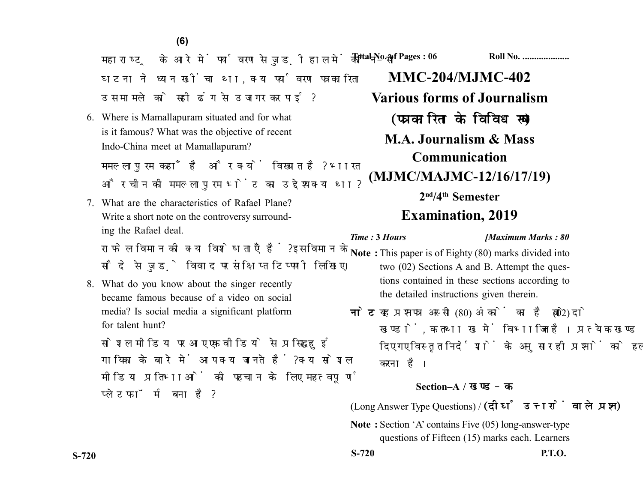महाराष्ट्र के आरे में पर्यावरण से जुड़ी हाल में कौन-सी घटना ने ध्यान खींचा था, क्या पर्यावरण पत्रकारिता उस मामले को सही ढंग से उजागर कर पाई?

6. Where is Mamallapuram situated and for what is it famous? What was the objective of recent Indo-China meet at Mamallapuram?

ममल्लापरम कहाँ है और क्यों विख्यात है? भारत और चीन की ममल्लापुरम भेंट का उद्देश्य क्या था?

7. What are the characteristics of Rafael Plane? Write a short note on the controversy surrounding the Rafael deal.

राफेल विमान की क्या विशेषताएँ हैं? इस विमान के सौदे से जुड़े विवाद पर संक्षिप्त टिप्पणी लिखिए।

8. What do you know about the singer recently became famous because of a video on social media? Is social media a significant platform for talent hunt?

सोशल मीडिया पर आए एक वीडियो से प्रसिद्ध हुई गायिका के बारे में आप क्या जानते हैं? क्या सोशल मीडिया प्रतिभाओं की पहचान के लिए महत्वपूर्ण प्लेटफॉर्म बना है?

**Total No. of Pages : 06 Roll No. ...................** 

**MMC-204/MJMC-402 Various forms of Journalism** (पत्रकारिता के विविध रूप) **M.A. Journalism & Mass Communication (MJMC/MAJMC-12/16/17/19) 2nd/4th Semester Examination, 2019**

#### *Time :* **3** *Hours [Maximum Marks : 80*

- **Note :** This paper is of Eighty (80) marks divided into two (02) Sections A and B. Attempt the questions contained in these sections according to the detailed instructions given therein.
- नोट: यह प्रश्नपत्र अस्सी (80) अंकों का है जो दो (02) खण्डों, क तथा ख में विभाजित है। प्रत्येक खण्ड में दिए गए विस्तत निर्देशों के अनसार ही प्रश्नों को हल करना है।

### **Section–A /**

(Long Answer Type Questions) /

**Note :** Section 'A' contains Five (05) long-answer-type questions of Fifteen (15) marks each. Learners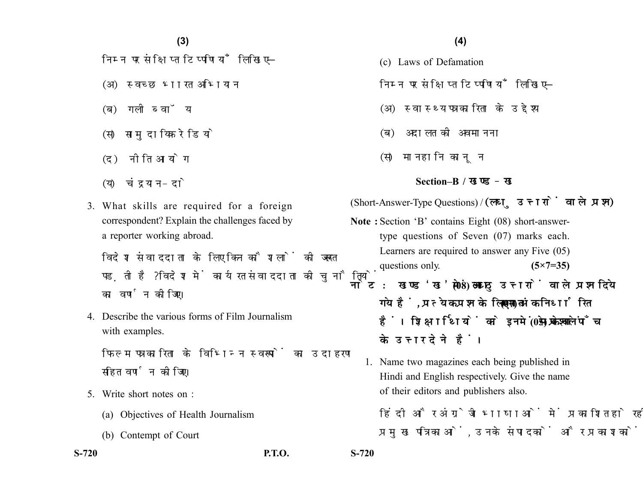# **(4)(3)**

निम्न पर संक्षिप्त टिप्पणियाँ लिखिए-

- (अ) स्वच्छ भारत अभियान
- (ब) गली ब्वॉय
- (स) सामुदायिक रेडियो
- (द) नीति आयोग
- (य) चंद्रयान-दो
- 3. What skills are required for a foreign correspondent? Explain the challenges faced by a reporter working abroad.

विदेश संवाददाता के लिए किन कौशलों की जरूरत पड़ती है? विदेश में कार्यरत संवाददाता की चुनौतियों का वर्णन कोजिए।

4. Describe the various forms of Film Journalism with examples.

फिल्म पत्रकारिता के विभिन्न स्वरूपों का उदाहरण सहित वर्णन कोजिए।

- 5. Write short notes on :
	- (a) Objectives of Health Journalism
	- (b) Contempt of Court

- (c) Laws of Defamation
- निम्न पर संक्षिप्त टिप्पणियाँ लिखिए-
- (अ) स्वास्थ्य पत्रकारिता के उद्देश्य
- (ब) अदालत की अवमानना
- (स) मानहानि कानुन

#### **Section–B /**

(Short-Answer-Type Questions) / (लघु उत्तरों वाले प्रश्न)

- **Note :** Section 'B' contains Eight (08) short-answertype questions of Seven (07) marks each. Learners are required to answer any Five (05) questions only. **(5×7=35)**
- नोट: खण्ड 'ख' में आठ (08) लघु उत्तरों वाले प्रश्न दिये गये हैं, प्रत्येक प्रश्न के लिए सात (07) अंक निर्धारित हैं। शिक्षार्थियों को इनमें से केवल पाँच (05) प्रश्नों के उत्तर देने हैं।
	- 1. Name two magazines each being published in Hindi and English respectively. Give the name of their editors and publishers also.
		- हिंदी और अंग्रेजी भाषाओं में प्रकाशित हो रहीं दो-दो प्रमख पत्रिकाओं. उनके संपादकों और प्रकाशकों के

**S-720 P.T.O. S-720**